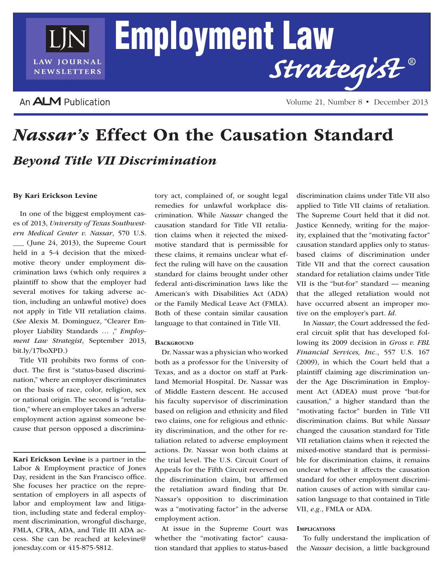

An **ALM** Publication

Volume 21, Number 8 • December 2013

# *Nassar's* Effect On the Causation Standard *Beyond Title VII Discrimination*

## By Kari Erickson Levine

In one of the biggest employment cases of 2013, *University of Texas Southwestern Medical Center v. Nassar*, 570 U.S. \_\_\_ (June 24, 2013), the Supreme Court held in a 5-4 decision that the mixedmotive theory under employment discrimination laws (which only requires a plaintiff to show that the employer had several motives for taking adverse action, including an unlawful motive) does not apply in Title VII retaliation claims. (*See* Alexis M. Dominguez, "Clearer Employer Liability Standards … ," *Employment Law Strategist*, September 2013, bit.ly/17boXPD.)

Title VII prohibits two forms of conduct. The first is "status-based discrimination," where an employer discriminates on the basis of race, color, religion, sex or national origin. The second is "retaliation," where an employer takes an adverse employment action against someone because that person opposed a discrimina-

Kari Erickson Levine is a partner in the Labor & Employment practice of Jones Day, resident in the San Francisco office. She focuses her practice on the representation of employers in all aspects of labor and employment law and litigation, including state and federal employment discrimination, wrongful discharge, FMLA, CFRA, ADA, and Title III ADA access. She can be reached at kelevine@ jonesday.com or 415-875-5812.

tory act, complained of, or sought legal remedies for unlawful workplace discrimination. While *Nassar* changed the causation standard for Title VII retaliation claims when it rejected the mixedmotive standard that is permissible for these claims, it remains unclear what effect the ruling will have on the causation standard for claims brought under other federal anti-discrimination laws like the American's with Disabilities Act (ADA) or the Family Medical Leave Act (FMLA). Both of these contain similar causation language to that contained in Title VII.

### **BACKGROUND**

Dr. Nassar was a physician who worked both as a professor for the University of Texas, and as a doctor on staff at Parkland Memorial Hospital. Dr. Nassar was of Middle Eastern descent. He accused his faculty supervisor of discrimination based on religion and ethnicity and filed two claims, one for religious and ethnicity discrimination, and the other for retaliation related to adverse employment actions. Dr. Nassar won both claims at the trial level. The U.S. Circuit Court of Appeals for the Fifth Circuit reversed on the discrimination claim, but affirmed the retaliation award finding that Dr. Nassar's opposition to discrimination was a "motivating factor" in the adverse employment action.

At issue in the Supreme Court was whether the "motivating factor" causation standard that applies to status-based discrimination claims under Title VII also applied to Title VII claims of retaliation. The Supreme Court held that it did not. Justice Kennedy, writing for the majority, explained that the "motivating factor" causation standard applies only to statusbased claims of discrimination under Title VII and that the correct causation standard for retaliation claims under Title VII is the "but-for" standard — meaning that the alleged retaliation would not have occurred absent an improper motive on the employer's part. *Id*.

In *Nassar*, the Court addressed the federal circuit split that has developed following its 2009 decision in *Gross v. FBL Financial Services, Inc.*, 557 U.S. 167 (2009), in which the Court held that a plaintiff claiming age discrimination under the Age Discrimination in Employment Act (ADEA) must prove "but-for causation," a higher standard than the "motivating factor" burden in Title VII discrimination claims. But while *Nassar* changed the causation standard for Title VII retaliation claims when it rejected the mixed-motive standard that is permissible for discrimination claims, it remains unclear whether it affects the causation standard for other employment discrimination causes of action with similar causation language to that contained in Title VII, *e.g.*, FMLA or ADA.

#### **IMPLICATIONS**

To fully understand the implication of the *Nassar* decision, a little background